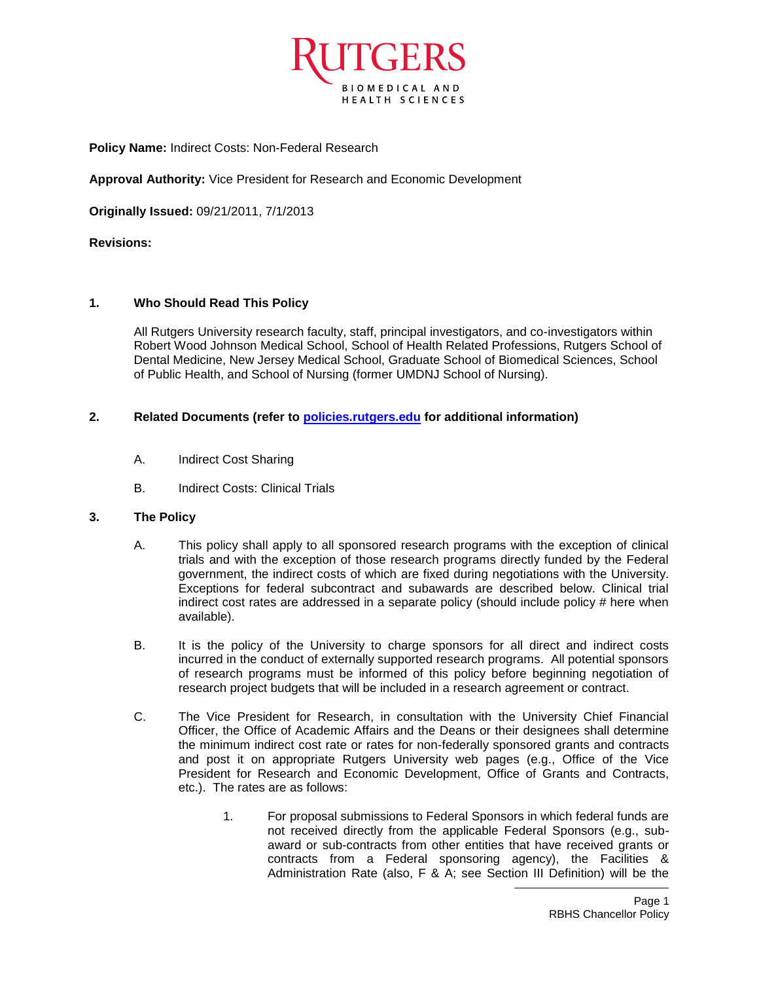

**Policy Name:** Indirect Costs: Non-Federal Research

**Approval Authority:** Vice President for Research and Economic Development

**Originally Issued:** 09/21/2011, 7/1/2013

**Revisions:**

## **1. Who Should Read This Policy**

All Rutgers University research faculty, staff, principal investigators, and co-investigators within Robert Wood Johnson Medical School, School of Health Related Professions, Rutgers School of Dental Medicine, New Jersey Medical School, Graduate School of Biomedical Sciences, School of Public Health, and School of Nursing (former UMDNJ School of Nursing).

## **2. Related Documents (refer to [policies.rutgers.edu](file:///C:/Users/rsedlackpr001/Documents/Rutgers/Policies/RBHS%20Policies/policies.rutgers.edu) for additional information)**

- A. Indirect Cost Sharing
- B. Indirect Costs: Clinical Trials

## **3. The Policy**

- A. This policy shall apply to all sponsored research programs with the exception of clinical trials and with the exception of those research programs directly funded by the Federal government, the indirect costs of which are fixed during negotiations with the University. Exceptions for federal subcontract and subawards are described below. Clinical trial indirect cost rates are addressed in a separate policy (should include policy # here when available).
- B. It is the policy of the University to charge sponsors for all direct and indirect costs incurred in the conduct of externally supported research programs. All potential sponsors of research programs must be informed of this policy before beginning negotiation of research project budgets that will be included in a research agreement or contract.
- C. The Vice President for Research, in consultation with the University Chief Financial Officer, the Office of Academic Affairs and the Deans or their designees shall determine the minimum indirect cost rate or rates for non-federally sponsored grants and contracts and post it on appropriate Rutgers University web pages (e.g., Office of the Vice President for Research and Economic Development, Office of Grants and Contracts, etc.). The rates are as follows:
	- 1. For proposal submissions to Federal Sponsors in which federal funds are not received directly from the applicable Federal Sponsors (e.g., subaward or sub-contracts from other entities that have received grants or contracts from a Federal sponsoring agency), the Facilities & Administration Rate (also, F & A; see Section III Definition) will be the